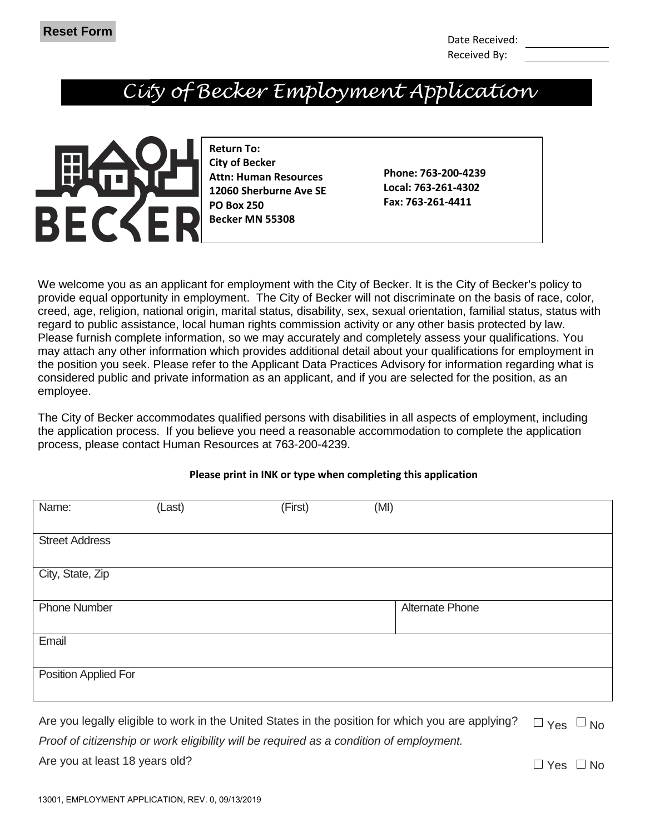### *City of Becker Employment Application*



**Return To: City of Becker Attn: Human Resources 12060 Sherburne Ave SE PO Box 250 Becker MN 55308** 

**Phone: 763-200-4239 Local: 763-261-4302 Fax: 763-261-4411**

We welcome you as an applicant for employment with the City of Becker. It is the City of Becker's policy to provide equal opportunity in employment. The City of Becker will not discriminate on the basis of race, color, creed, age, religion, national origin, marital status, disability, sex, sexual orientation, familial status, status with regard to public assistance, local human rights commission activity or any other basis protected by law. Please furnish complete information, so we may accurately and completely assess your qualifications. You may attach any other information which provides additional detail about your qualifications for employment in the position you seek. Please refer to the Applicant Data Practices Advisory for information regarding what is considered public and private information as an applicant, and if you are selected for the position, as an employee.

The City of Becker accommodates qualified persons with disabilities in all aspects of employment, including the application process. If you believe you need a reasonable accommodation to complete the application process, please contact Human Resources at 763-200-4239.

| Name:                 | (Last) | (First) | (MI)                                                                                                                            |
|-----------------------|--------|---------|---------------------------------------------------------------------------------------------------------------------------------|
|                       |        |         |                                                                                                                                 |
| <b>Street Address</b> |        |         |                                                                                                                                 |
|                       |        |         |                                                                                                                                 |
| City, State, Zip      |        |         |                                                                                                                                 |
|                       |        |         |                                                                                                                                 |
| <b>Phone Number</b>   |        |         | <b>Alternate Phone</b>                                                                                                          |
|                       |        |         |                                                                                                                                 |
| Email                 |        |         |                                                                                                                                 |
|                       |        |         |                                                                                                                                 |
| Position Applied For  |        |         |                                                                                                                                 |
|                       |        |         |                                                                                                                                 |
|                       |        |         |                                                                                                                                 |
|                       |        |         | Are you legally eligible to work in the United States in the position for which you are applying?<br>$\Box$ $\vee$ oo $\Box$ No |

#### **Please print in INK or type when completing this application**

Are you legally eligible to work in the United States in the position for which you are applying? *Proof of citizenship or work eligibility will be required as a condition of employment.* Yes No Are you at least 18 years old?  $\Box$  Yes  $\Box$  No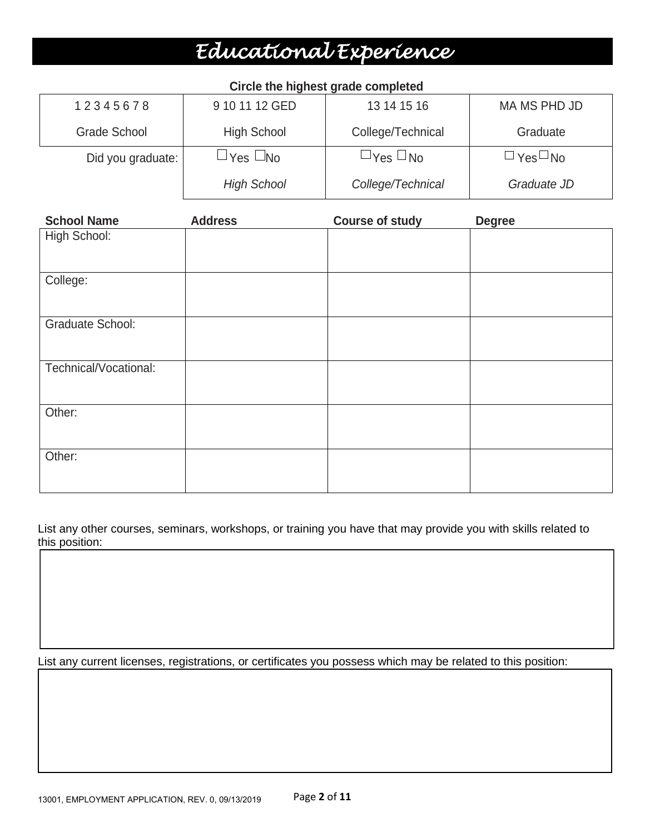## *Educational Experience*

| 12345678          | 9 10 11 12 GED     | 13 14 15 16          | MA MS PHD JD         |
|-------------------|--------------------|----------------------|----------------------|
| Grade School      | <b>High School</b> | College/Technical    | Graduate             |
| Did you graduate: | ⊐Yes ∐No           | $\Box$ Yes $\Box$ No | $\Box$ Yes $\Box$ No |
|                   | <b>High School</b> | College/Technical    | Graduate JD          |

|  |  |  | Circle the highest grade completed |
|--|--|--|------------------------------------|
|--|--|--|------------------------------------|

| <b>School Name</b>      | <b>Address</b> | <b>Course of study</b> | <b>Degree</b> |
|-------------------------|----------------|------------------------|---------------|
| High School:            |                |                        |               |
| College:                |                |                        |               |
| <b>Graduate School:</b> |                |                        |               |
| Technical/Vocational:   |                |                        |               |
| Other:                  |                |                        |               |
| Other:                  |                |                        |               |

List any other courses, seminars, workshops, or training you have that may provide you with skills related to this position:

List any current licenses, registrations, or certificates you possess which may be related to this position: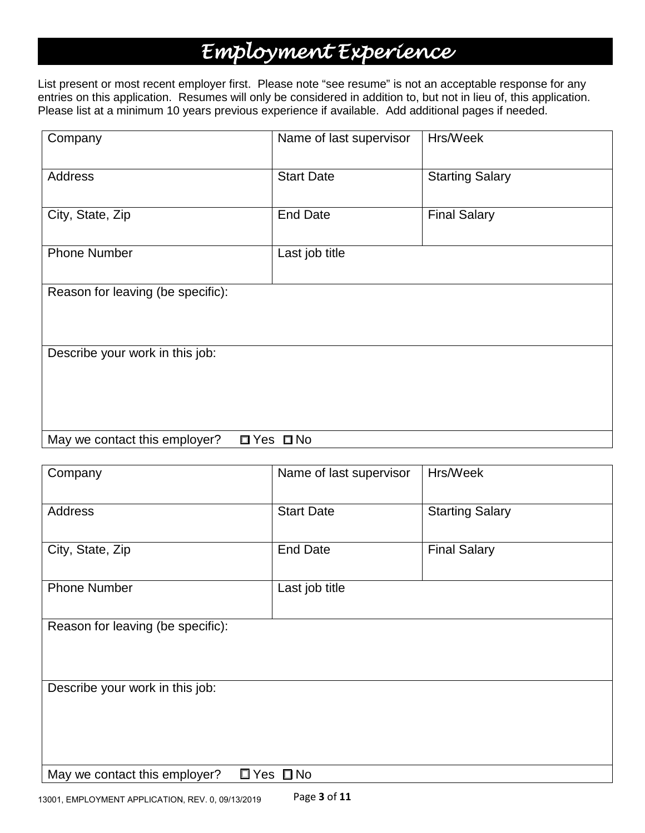## *Employment Experience*

List present or most recent employer first. Please note "see resume" is not an acceptable response for any entries on this application. Resumes will only be considered in addition to, but not in lieu of, this application. Please list at a minimum 10 years previous experience if available. Add additional pages if needed.

| Company                           | Name of last supervisor | Hrs/Week               |
|-----------------------------------|-------------------------|------------------------|
| <b>Address</b>                    | <b>Start Date</b>       | <b>Starting Salary</b> |
| City, State, Zip                  | <b>End Date</b>         | <b>Final Salary</b>    |
| <b>Phone Number</b>               | Last job title          |                        |
| Reason for leaving (be specific): |                         |                        |
| Describe your work in this job:   |                         |                        |
| May we contact this employer?     | $\Box$ Yes $\Box$ No    |                        |

| Company                           | Name of last supervisor                | Hrs/Week               |
|-----------------------------------|----------------------------------------|------------------------|
| Address                           | <b>Start Date</b>                      | <b>Starting Salary</b> |
| City, State, Zip                  | <b>End Date</b><br><b>Final Salary</b> |                        |
| <b>Phone Number</b>               | Last job title                         |                        |
| Reason for leaving (be specific): |                                        |                        |
|                                   |                                        |                        |
| Describe your work in this job:   |                                        |                        |
|                                   |                                        |                        |
|                                   |                                        |                        |
| May we contact this employer?     | $\Box$ Yes $\Box$ No                   |                        |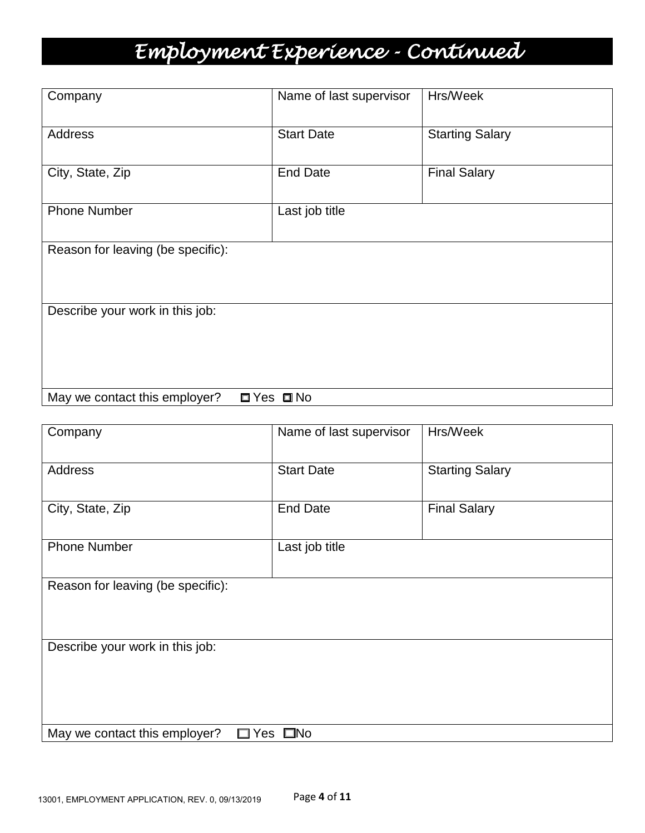# *Employment Experience - Continued*

| Company                           | Name of last supervisor | Hrs/Week               |
|-----------------------------------|-------------------------|------------------------|
| <b>Address</b>                    | <b>Start Date</b>       | <b>Starting Salary</b> |
| City, State, Zip                  | <b>End Date</b>         | <b>Final Salary</b>    |
| <b>Phone Number</b>               | Last job title          |                        |
| Reason for leaving (be specific): |                         |                        |
|                                   |                         |                        |
| Describe your work in this job:   |                         |                        |
|                                   |                         |                        |
| May we contact this employer?     | $\Box$ Yes $\Box$ No    |                        |

| Company                           | Name of last supervisor | Hrs/Week               |  |  |  |  |
|-----------------------------------|-------------------------|------------------------|--|--|--|--|
|                                   |                         |                        |  |  |  |  |
| Address                           | <b>Start Date</b>       | <b>Starting Salary</b> |  |  |  |  |
|                                   |                         |                        |  |  |  |  |
| City, State, Zip                  | <b>End Date</b>         | <b>Final Salary</b>    |  |  |  |  |
|                                   |                         |                        |  |  |  |  |
| <b>Phone Number</b>               | Last job title          |                        |  |  |  |  |
|                                   |                         |                        |  |  |  |  |
| Reason for leaving (be specific): |                         |                        |  |  |  |  |
|                                   |                         |                        |  |  |  |  |
|                                   |                         |                        |  |  |  |  |
| Describe your work in this job:   |                         |                        |  |  |  |  |
|                                   |                         |                        |  |  |  |  |
|                                   |                         |                        |  |  |  |  |
|                                   |                         |                        |  |  |  |  |
|                                   |                         |                        |  |  |  |  |
| May we contact this employer?     | $\Box$ Yes $\Box$ No    |                        |  |  |  |  |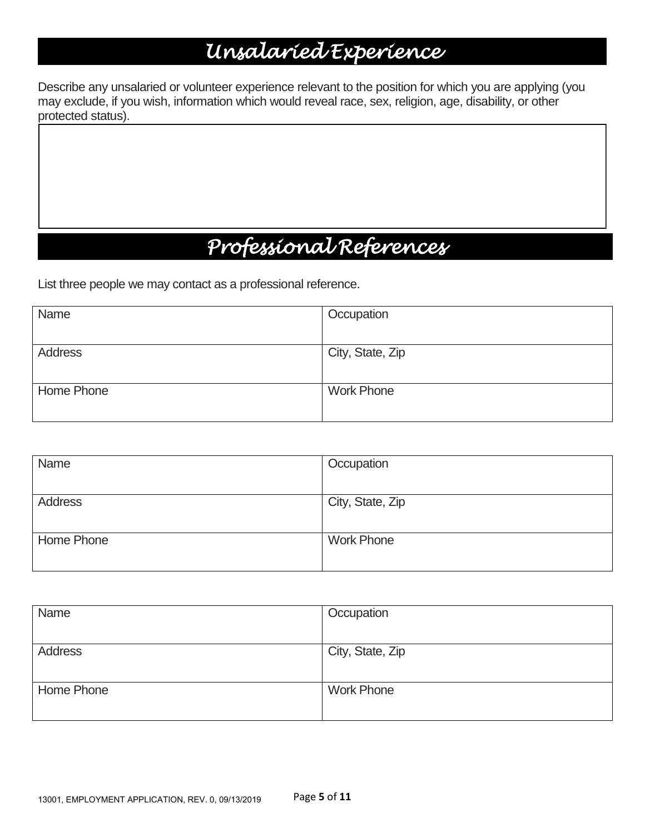## *Unsalaried Experience*

Describe any unsalaried or volunteer experience relevant to the position for which you are applying (you may exclude, if you wish, information which would reveal race, sex, religion, age, disability, or other protected status).

## *Professional References*

List three people we may contact as a professional reference.

| Name           | Occupation        |
|----------------|-------------------|
| <b>Address</b> | City, State, Zip  |
|                |                   |
| Home Phone     | <b>Work Phone</b> |
|                |                   |

| Name       | Occupation        |
|------------|-------------------|
| Address    | City, State, Zip  |
| Home Phone | <b>Work Phone</b> |

| Name           | Occupation        |
|----------------|-------------------|
| <b>Address</b> | City, State, Zip  |
| Home Phone     | <b>Work Phone</b> |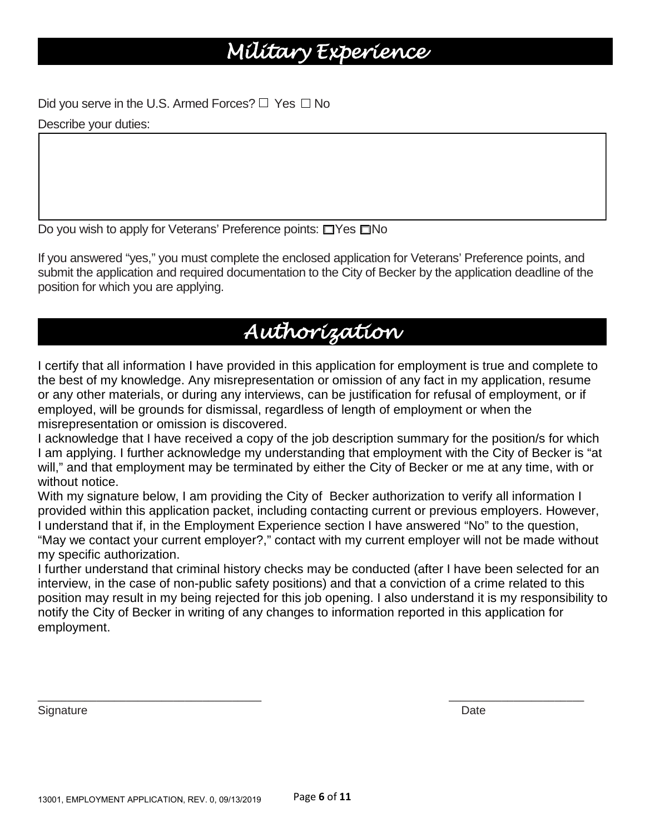### *Military Experience*

Did you serve in the U.S. Armed Forces?  $\Box$  Yes  $\Box$  No Describe your duties:

Do you wish to apply for Veterans' Preference points: □Yes □No

If you answered "yes," you must complete the enclosed application for Veterans' Preference points, and submit the application and required documentation to the City of Becker by the application deadline of the position for which you are applying.

### *Authorization*

I certify that all information I have provided in this application for employment is true and complete to the best of my knowledge. Any misrepresentation or omission of any fact in my application, resume or any other materials, or during any interviews, can be justification for refusal of employment, or if employed, will be grounds for dismissal, regardless of length of employment or when the misrepresentation or omission is discovered.

I acknowledge that I have received a copy of the job description summary for the position/s for which I am applying. I further acknowledge my understanding that employment with the City of Becker is "at will," and that employment may be terminated by either the City of Becker or me at any time, with or without notice.

With my signature below, I am providing the City of Becker authorization to verify all information I provided within this application packet, including contacting current or previous employers. However, I understand that if, in the Employment Experience section I have answered "No" to the question, "May we contact your current employer?," contact with my current employer will not be made without my specific authorization.

I further understand that criminal history checks may be conducted (after I have been selected for an interview, in the case of non-public safety positions) and that a conviction of a crime related to this position may result in my being rejected for this job opening. I also understand it is my responsibility to notify the City of Becker in writing of any changes to information reported in this application for employment.

\_\_\_\_\_\_\_\_\_\_\_\_\_\_\_\_\_\_\_\_\_\_\_\_\_\_\_\_\_\_\_\_\_\_\_\_\_\_ \_\_\_\_\_\_\_\_\_\_\_\_\_\_\_\_\_\_\_\_\_\_\_

Signature **Date**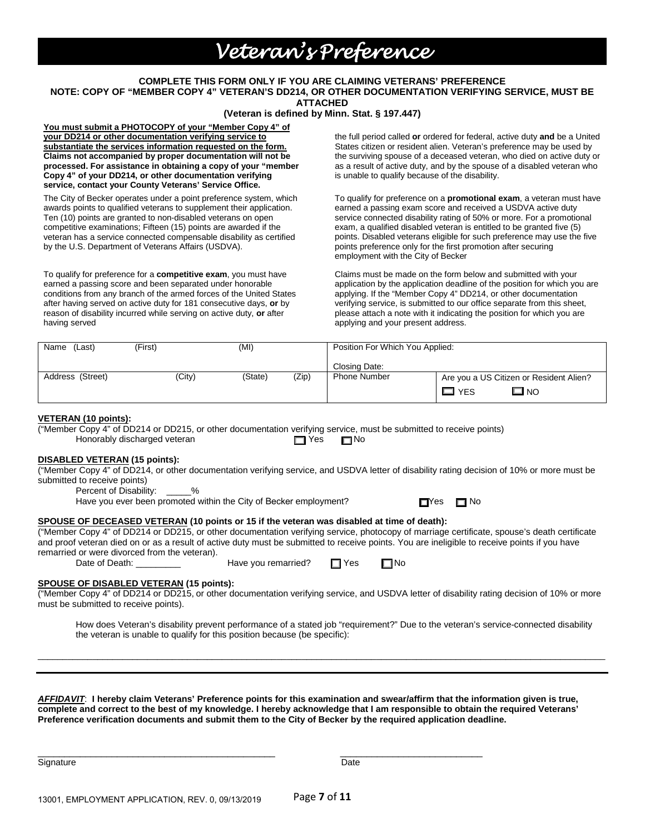### *Veteran's Preference*

#### **COMPLETE THIS FORM ONLY IF YOU ARE CLAIMING VETERANS' PREFERENCE**

**NOTE: COPY OF "MEMBER COPY 4" VETERAN'S DD214, OR OTHER DOCUMENTATION VERIFYING SERVICE, MUST BE** 

**ATTACHED** 

#### **(Veteran is defined by Minn. Stat. § 197.447)**

**You must submit a PHOTOCOPY of your "Member Copy 4" of your DD214 or other documentation verifying service to substantiate the services information requested on the form. Claims not accompanied by proper documentation will not be processed. For assistance in obtaining a copy of your "member Copy 4" of your DD214, or other documentation verifying service, contact your County Veterans' Service Office.**

The City of Becker operates under a point preference system, which awards points to qualified veterans to supplement their application. Ten (10) points are granted to non-disabled veterans on open competitive examinations; Fifteen (15) points are awarded if the veteran has a service connected compensable disability as certified by the U.S. Department of Veterans Affairs (USDVA).

To qualify for preference for a **competitive exam**, you must have earned a passing score and been separated under honorable conditions from any branch of the armed forces of the United States after having served on active duty for 181 consecutive days, **or** by reason of disability incurred while serving on active duty, **or** after having served

the full period called **or** ordered for federal, active duty **and** be a United States citizen or resident alien. Veteran's preference may be used by the surviving spouse of a deceased veteran, who died on active duty or as a result of active duty, and by the spouse of a disabled veteran who is unable to qualify because of the disability.

To qualify for preference on a **promotional exam**, a veteran must have earned a passing exam score and received a USDVA active duty service connected disability rating of 50% or more. For a promotional exam, a qualified disabled veteran is entitled to be granted five (5) points. Disabled veterans eligible for such preference may use the five points preference only for the first promotion after securing employment with the City of Becker

Claims must be made on the form below and submitted with your application by the application deadline of the position for which you are applying. If the "Member Copy 4" DD214, or other documentation verifying service, is submitted to our office separate from this sheet, please attach a note with it indicating the position for which you are applying and your present address.

| Name<br>(Last)   | (First) | (MI)             |  | Position For Which You Applied: |                                         |
|------------------|---------|------------------|--|---------------------------------|-----------------------------------------|
|                  |         |                  |  | Closing Date:                   |                                         |
| Address (Street) | (City)  | (Zip)<br>(State) |  | <b>Phone Number</b>             | Are you a US Citizen or Resident Alien? |
|                  |         |                  |  |                                 | ⊟ NO<br><b>YES</b>                      |

#### **VETERAN (10 points):**

("Member Copy 4" of DD214 or DD215, or other documentation verifying service, must be submitted to receive points) Honorably discharged veteran No No No No No

#### **DISABLED VETERAN (15 points):**

("Member Copy 4" of DD214, or other documentation verifying service, and USDVA letter of disability rating decision of 10% or more must be submitted to receive points)

Percent of Disability: \_\_\_\_\_\_%

Have you ever been promoted within the City of Becker employment?  $\Box$  Yes  $\Box$  No

#### **SPOUSE OF DECEASED VETERAN (10 points or 15 if the veteran was disabled at time of death):**

("Member Copy 4" of DD214 or DD215, or other documentation verifying service, photocopy of marriage certificate, spouse's death certificate and proof veteran died on or as a result of active duty must be submitted to receive points. You are ineligible to receive points if you have remarried or were divorced from the veteran).<br>Date of Death:

| $\Box$ Yes<br>Have you remarried? | $\square$ No |
|-----------------------------------|--------------|
|-----------------------------------|--------------|

**SPOUSE OF DISABLED VETERAN (15 points):** ("Member Copy 4" of DD214 or DD215, or other documentation verifying service, and USDVA letter of disability rating decision of 10% or more must be submitted to receive points).

\_\_\_\_\_\_\_\_\_\_\_\_\_\_\_\_\_\_\_\_\_\_\_\_\_\_\_\_\_\_\_\_\_\_\_\_\_\_\_\_\_\_\_\_\_\_\_\_\_\_\_\_\_\_\_\_\_\_\_\_\_\_\_\_\_\_\_\_\_\_\_\_\_\_\_\_\_\_\_\_\_\_\_\_\_\_\_\_\_\_\_\_\_\_\_\_\_\_\_\_\_\_\_\_\_\_\_\_\_\_\_\_\_\_

How does Veteran's disability prevent performance of a stated job "requirement?" Due to the veteran's service-connected disability the veteran is unable to qualify for this position because (be specific):

*AFFIDAVIT*: **I hereby claim Veterans' Preference points for this examination and swear/affirm that the information given is true, complete and correct to the best of my knowledge. I hereby acknowledge that I am responsible to obtain the required Veterans' Preference verification documents and submit them to the City of Becker by the required application deadline.**

\_\_\_\_\_\_\_\_\_\_\_\_\_\_\_\_\_\_\_\_\_\_\_\_\_\_\_\_\_\_\_\_\_\_\_\_\_\_\_\_\_\_\_\_\_ \_\_\_\_\_\_\_\_\_\_\_\_\_\_\_\_\_\_\_\_\_\_\_\_\_\_\_

Signature **Date**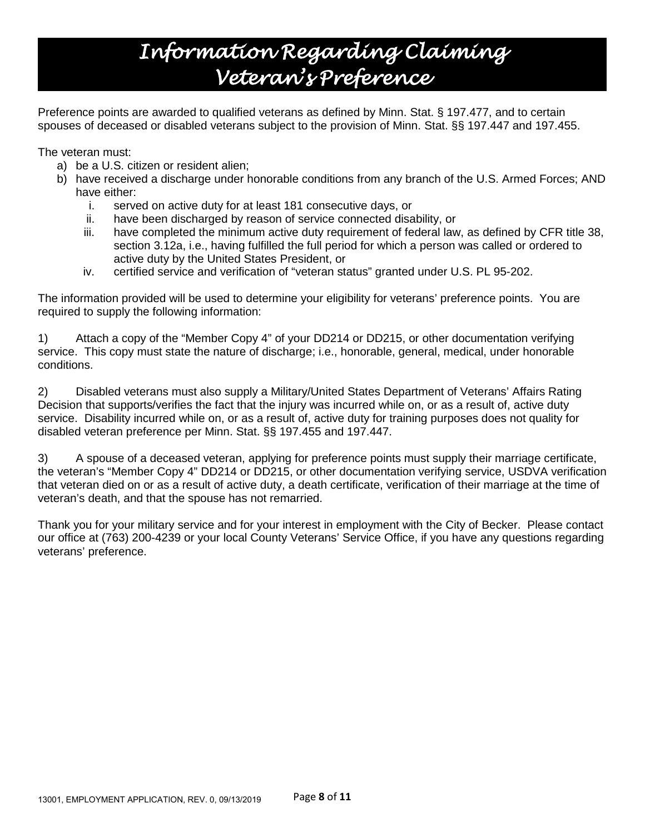## *Information Regarding Claiming Veteran's Preference*

Preference points are awarded to qualified veterans as defined by Minn. Stat. § 197.477, and to certain spouses of deceased or disabled veterans subject to the provision of Minn. Stat. §§ 197.447 and 197.455.

The veteran must:

- a) be a U.S. citizen or resident alien;
- b) have received a discharge under honorable conditions from any branch of the U.S. Armed Forces; AND have either:
	- i. served on active duty for at least 181 consecutive days, or
	- ii. have been discharged by reason of service connected disability, or
	- iii. have completed the minimum active duty requirement of federal law, as defined by CFR title 38, section 3.12a, i.e., having fulfilled the full period for which a person was called or ordered to active duty by the United States President, or
	- iv. certified service and verification of "veteran status" granted under U.S. PL 95-202.

The information provided will be used to determine your eligibility for veterans' preference points. You are required to supply the following information:

1) Attach a copy of the "Member Copy 4" of your DD214 or DD215, or other documentation verifying service. This copy must state the nature of discharge; i.e., honorable, general, medical, under honorable conditions.

2) Disabled veterans must also supply a Military/United States Department of Veterans' Affairs Rating Decision that supports/verifies the fact that the injury was incurred while on, or as a result of, active duty service. Disability incurred while on, or as a result of, active duty for training purposes does not quality for disabled veteran preference per Minn. Stat. §§ 197.455 and 197.447.

3) A spouse of a deceased veteran, applying for preference points must supply their marriage certificate, the veteran's "Member Copy 4" DD214 or DD215, or other documentation verifying service, USDVA verification that veteran died on or as a result of active duty, a death certificate, verification of their marriage at the time of veteran's death, and that the spouse has not remarried.

Thank you for your military service and for your interest in employment with the City of Becker. Please contact our office at (763) 200-4239 or your local County Veterans' Service Office, if you have any questions regarding veterans' preference.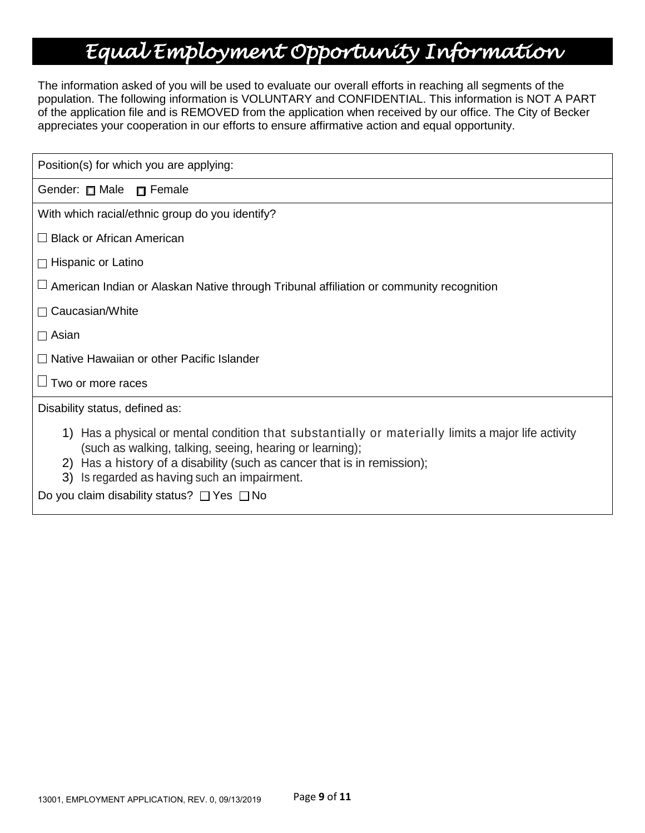### *Equal Employment Opportunity Information*

The information asked of you will be used to evaluate our overall efforts in reaching all segments of the population. The following information is VOLUNTARY and CONFIDENTIAL. This information is NOT A PART of the application file and is REMOVED from the application when received by our office. The City of Becker appreciates your cooperation in our efforts to ensure affirmative action and equal opportunity.

| Position(s) for which you are applying:                                                                                                                                                                                                                                                    |
|--------------------------------------------------------------------------------------------------------------------------------------------------------------------------------------------------------------------------------------------------------------------------------------------|
| Gender: Male n Female                                                                                                                                                                                                                                                                      |
| With which racial/ethnic group do you identify?                                                                                                                                                                                                                                            |
| $\Box$ Black or African American                                                                                                                                                                                                                                                           |
| $\Box$ Hispanic or Latino                                                                                                                                                                                                                                                                  |
| $\sqcup$ American Indian or Alaskan Native through Tribunal affiliation or community recognition                                                                                                                                                                                           |
| $\Box$ Caucasian/White                                                                                                                                                                                                                                                                     |
| $\square$ Asian                                                                                                                                                                                                                                                                            |
| $\Box$ Native Hawaiian or other Pacific Islander                                                                                                                                                                                                                                           |
| $\Box$ Two or more races                                                                                                                                                                                                                                                                   |
| Disability status, defined as:                                                                                                                                                                                                                                                             |
| 1) Has a physical or mental condition that substantially or materially limits a major life activity<br>(such as walking, talking, seeing, hearing or learning);<br>2) Has a history of a disability (such as cancer that is in remission);<br>3) Is regarded as having such an impairment. |

Do you claim disability status?  $\Box$  Yes  $\Box$  No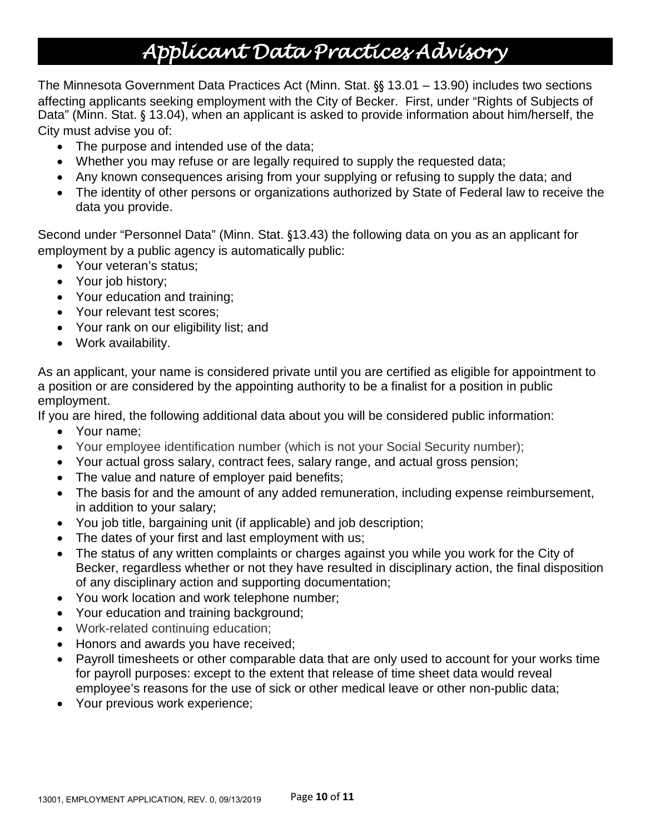## *Applicant Data Practices Advisory*

The Minnesota Government Data Practices Act (Minn. Stat. §§ 13.01 – 13.90) includes two sections affecting applicants seeking employment with the City of Becker. First, under "Rights of Subjects of Data" (Minn. Stat. § 13.04), when an applicant is asked to provide information about him/herself, the City must advise you of:

- The purpose and intended use of the data;
- Whether you may refuse or are legally required to supply the requested data;
- Any known consequences arising from your supplying or refusing to supply the data; and
- The identity of other persons or organizations authorized by State of Federal law to receive the data you provide.

Second under "Personnel Data" (Minn. Stat. §13.43) the following data on you as an applicant for employment by a public agency is automatically public:

- Your veteran's status;
- Your job history;
- Your education and training;
- Your relevant test scores;
- Your rank on our eligibility list; and
- Work availability.

As an applicant, your name is considered private until you are certified as eligible for appointment to a position or are considered by the appointing authority to be a finalist for a position in public employment.

If you are hired, the following additional data about you will be considered public information:

- Your name;
- Your employee identification number (which is not your Social Security number);
- Your actual gross salary, contract fees, salary range, and actual gross pension;
- The value and nature of employer paid benefits;
- The basis for and the amount of any added remuneration, including expense reimbursement, in addition to your salary;
- You job title, bargaining unit (if applicable) and job description;
- The dates of your first and last employment with us;
- The status of any written complaints or charges against you while you work for the City of Becker, regardless whether or not they have resulted in disciplinary action, the final disposition of any disciplinary action and supporting documentation;
- You work location and work telephone number;
- Your education and training background;
- Work-related continuing education;
- Honors and awards you have received;
- Payroll timesheets or other comparable data that are only used to account for your works time for payroll purposes: except to the extent that release of time sheet data would reveal employee's reasons for the use of sick or other medical leave or other non-public data;
- Your previous work experience;